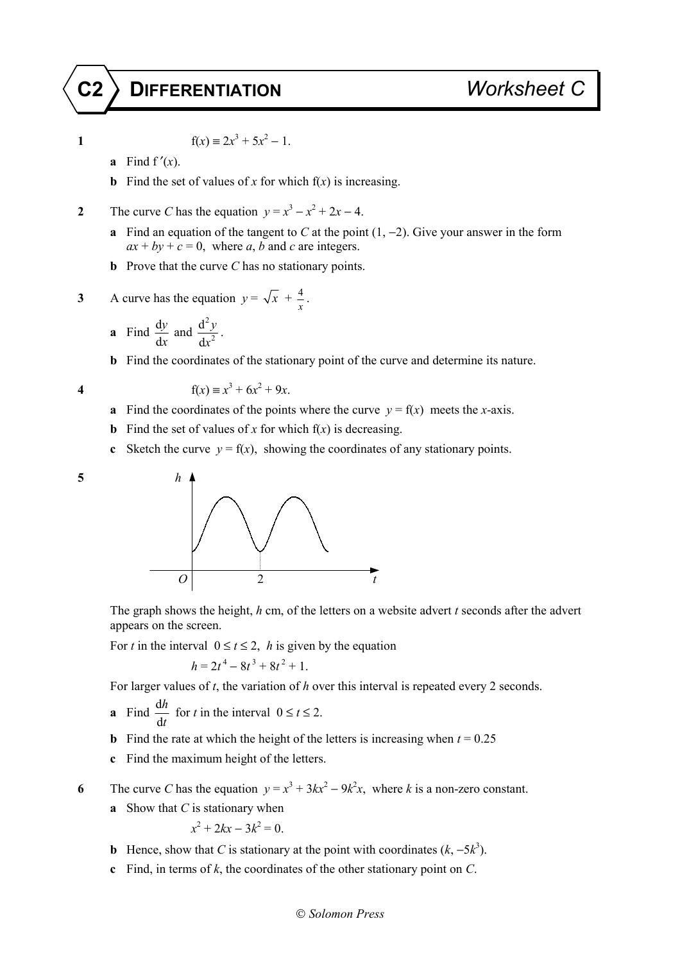## **C2 DIFFERENTIATION** *Worksheet C*

$$
\mathbf{1}^{\top}
$$

**1**  $f(x) = 2x^3 + 5x^2 - 1$ .

- **a** Find  $f'(x)$ .
- **b** Find the set of values of *x* for which  $f(x)$  is increasing.
- **2** The curve *C* has the equation  $y = x^3 x^2 + 2x 4$ .
	- **a** Find an equation of the tangent to *C* at the point (1, −2). Give your answer in the form  $ax + by + c = 0$ , where *a*, *b* and *c* are integers.
	- **b** Prove that the curve *C* has no stationary points.

3 A curve has the equation 
$$
y = \sqrt{x} + \frac{4}{x}
$$
.

**a** Find 
$$
\frac{dy}{dx}
$$
 and  $\frac{d^2y}{dx^2}$ .

**b** Find the coordinates of the stationary point of the curve and determine its nature.

**4**  $f(x) = x^3 + 6x^2 + 9x$ .

- **a** Find the coordinates of the points where the curve  $v = f(x)$  meets the *x*-axis.
- **b** Find the set of values of *x* for which  $f(x)$  is decreasing.
- **c** Sketch the curve  $y = f(x)$ , showing the coordinates of any stationary points.





 The graph shows the height, *h* cm, of the letters on a website advert *t* seconds after the advert appears on the screen.

For *t* in the interval  $0 \le t \le 2$ , *h* is given by the equation

$$
h = 2t^4 - 8t^3 + 8t^2 + 1.
$$

For larger values of *t*, the variation of *h* over this interval is repeated every 2 seconds.

- **a** Find  $\frac{d}{dx}$ d *h t* for *t* in the interval  $0 \le t \le 2$ .
- **b** Find the rate at which the height of the letters is increasing when  $t = 0.25$
- **c** Find the maximum height of the letters.

**6** The curve *C* has the equation  $y = x^3 + 3kx^2 - 9k^2x$ , where *k* is a non-zero constant.

**a** Show that *C* is stationary when

$$
x^2 + 2kx - 3k^2 = 0.
$$

- **b** Hence, show that *C* is stationary at the point with coordinates  $(k, -5k^3)$ .
- **c** Find, in terms of *k*, the coordinates of the other stationary point on *C*.